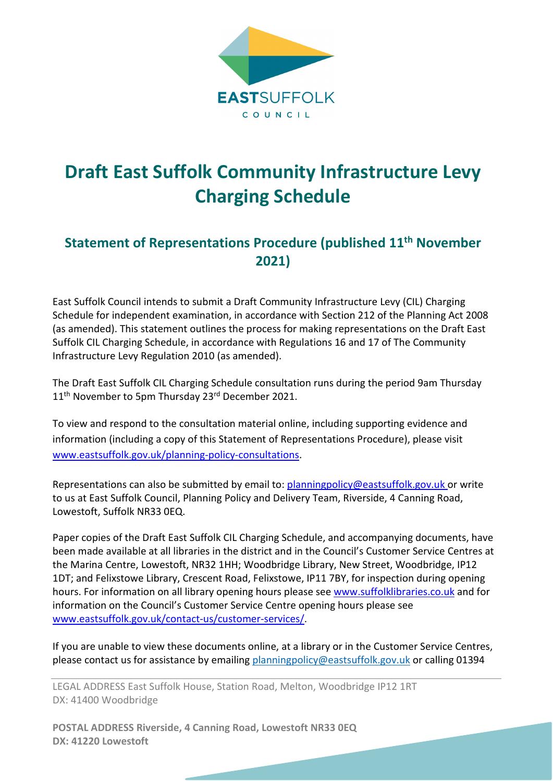

## **Draft East Suffolk Community Infrastructure Levy Charging Schedule**

## **Statement of Representations Procedure (published 11th November 2021)**

East Suffolk Council intends to submit a Draft Community Infrastructure Levy (CIL) Charging Schedule for independent examination, in accordance with Section 212 of the Planning Act 2008 (as amended). This statement outlines the process for making representations on the Draft East Suffolk CIL Charging Schedule, in accordance with Regulations 16 and 17 of The Community Infrastructure Levy Regulation 2010 (as amended).

The Draft East Suffolk CIL Charging Schedule consultation runs during the period 9am Thursday 11<sup>th</sup> November to 5pm Thursday 23<sup>rd</sup> December 2021.

To view and respond to the consultation material online, including supporting evidence and information (including a copy of this Statement of Representations Procedure), please visit [www.eastsuffolk.gov.uk/planning-policy-consultations.](https://www.eastsuffolk.gov.uk/planning/planning-policy-and-local-plans/planning-policy-consultations/)

Representations can also be submitted by email to: [planningpolicy@eastsuffolk.gov.uk](mailto:planningpolicy@eastsuffolk.gov.uk) or write to us at East Suffolk Council, Planning Policy and Delivery Team, Riverside, 4 Canning Road, Lowestoft, Suffolk NR33 0EQ.

Paper copies of the Draft East Suffolk CIL Charging Schedule, and accompanying documents, have been made available at all libraries in the district and in the Council's Customer Service Centres at the Marina Centre, Lowestoft, NR32 1HH; Woodbridge Library, New Street, Woodbridge, IP12 1DT; and Felixstowe Library, Crescent Road, Felixstowe, IP11 7BY, for inspection during opening hours. For information on all library opening hours please see [www.suffolklibraries.co.uk](http://www.suffolklibraries.co.uk/) and for information on the Council's Customer Service Centre opening hours please see [www.eastsuffolk.gov.uk/contact-us/customer-services/.](http://www.eastsuffolk.gov.uk/contact-us/customer-services/)

If you are unable to view these documents online, at a library or in the Customer Service Centres, please contact us for assistance by emailing [planningpolicy@eastsuffolk.gov.uk](mailto:planningpolicy@eastsuffolk.gov.uk) or calling 01394

LEGAL ADDRESS East Suffolk House, Station Road, Melton, Woodbridge IP12 1RT DX: 41400 Woodbridge

**POSTAL ADDRESS Riverside, 4 Canning Road, Lowestoft NR33 0EQ DX: 41220 Lowestoft**